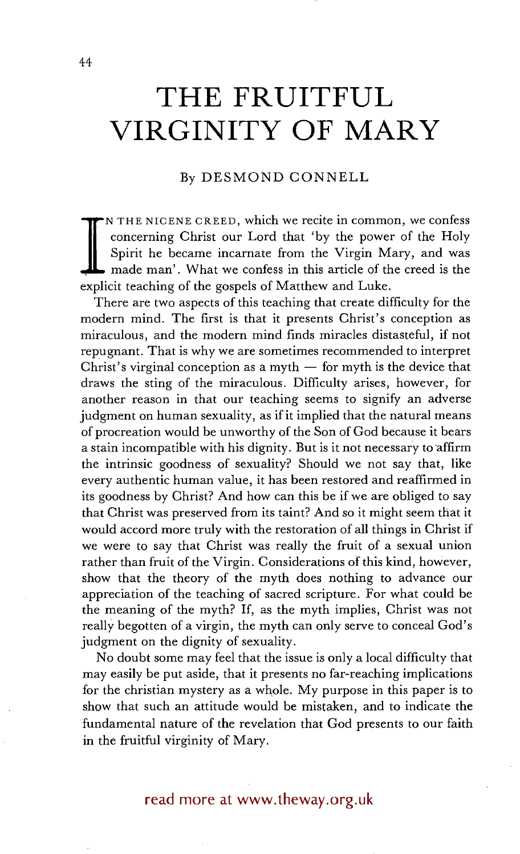## **THE FRUITFUL VIRGINITY OF MARY**

## By DESMOND CONNELL

**I**  N THE NICENE CREED, which we recite in common, we confess concerning Christ our Lord that 'by the power of the Holy Spirit he became incarnate from the Virgin Mary, and was made man'. What we confess in this article of the creed is the explicit teaching of the gospels of Matthew and Luke.

There are two aspects of this teaching that create difficulty for the modern mind. The first is that it presents Christ's conception as miraculous, and the modern mind finds miracles distasteful, if not repugnant. That is why we are sometimes recommended to interpret Christ's virginal conception as a myth  $-$  for myth is the device that draws the sting of the miraculous. Difficulty arises, however, for another reason in that our teaching seems to signify an adverse judgment on human sexuality, as if it implied that the natural means of procreation would be unworthy of the Son of God because it bears a stain incompatible with his dignity. But is it not necessary to affirm the intrinsic goodness of sexuality? Should we not say that, like every authentic human value, it has been restored and reaffirmed in its goodness by Christ? And how can this be if we are obliged to say that Christ was preserved from its taint? And so it might seem that it would accord more truly with the restoration of all things in Christ if we were to say that Christ was really the fruit of a sexual union rather than fruit of the Virgin. Considerations of this kind, however, show that the theory of the myth does nothing to advance our appreciation of the teaching of sacred scripture. For what could be the meaning of the myth? If, as the myth implies, Christ was not really begotten of a virgin, the myth can only serve to conceal God's judgment on the dignity of sexuality.

No doubt some may feel that the issue is only a local difficulty that may easily be put aside, that it presents no far-reaching implications for the christian mystery as a whole. My purpose in this paper is to show that such an attitude would be mistaken, and to indicate the fundamental nature of the revelation that God presents to our faith in the fruitful virginity of Mary.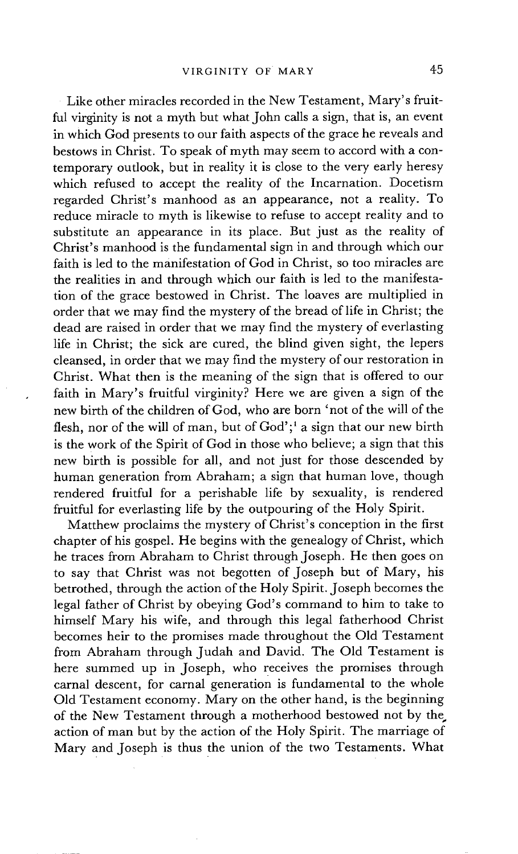Like other miracles recorded in the New Testament, Mary's fruitful virginity is not a myth but what John calls a sign, that is, an event in which God presents to our faith aspects of the grace he reveals and bestows in Christ. To speak of myth may seem to accord with a contemporary outlook, but in reality it is close to the very early heresy which refused to accept the reality of the Incarnation. Docetism regarded Christ's manhood as an appearance, not a reality. To reduce miracle to myth is likewise to refuse to accept reality and to substitute an appearance in its place. But just as the reality of Christ's manhood is the fundamental sign in and through which our faith is led to the manifestation of God in Christ, so too miracles are the realities in and through which our faith is led to the manifestation of the grace bestowed in Christ. The loaves are multiplied in order that we may find the mystery of the bread of life in Christ; the dead are raised in order that we may find the mystery of everlasting life in Christ; the sick are cured, the blind given sight, the lepers cleansed, in order that we may find the mystery of our restoration in Christ. What then is the meaning of the sign that is offered to our faith in Mary's fruitful virginity? Here we are given a sign of the new birth of the children of God, who are born 'not of the will of the flesh, nor of the will of man, but of  $God$ <sup>1</sup>;<sup>1</sup> a sign that our new birth is the work of the Spirit of God in those who believe; a sign that this new birth is possible for all, and not just for those descended by human generation from Abraham; a sign that human love, though rendered fruitful for a perishable life by sexuality, is rendered fruitful for everlasting life by the outpouring of the Holy Spirit.

Matthew proclaims the mystery of Christ's conception in the first chapter of his gospel. He begins with the genealogy of Christ, which he traces from Abraham to Christ through Joseph. He then goes on to say that Christ was not begotten of Joseph but of Mary, his betrothed, through the action of the Holy Spirit. Joseph becomes the legal father of Christ by obeying God's command to him to take to himself Mary his wife, and through this legal fatherhood Christ becomes heir to the promises made throughout the Old Testament from Abraham through Judah and David. The Old Testament is here summed up in Joseph, who receives the promises through carnal descent, for carnal generation is fundamental to the whole Old Testament economy. Mary on the other hand, is the beginning of the New Testament through a motherhood bestowed not by the action of man but by the action of the Holy Spirit. The marriage of Mary and Joseph is thus the union of the two Testaments. What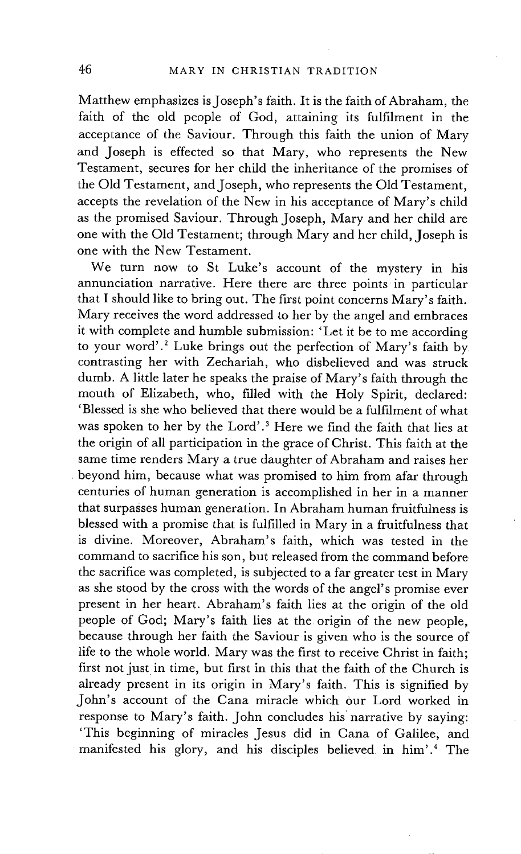Matthew emphasizes is Joseph's faith. It is the faith of Abraham, the faith of the old people of God, attaining its fulfilment in the acceptance of the Saviour. Through this faith the union of Mary and Joseph is effected so that Mary, who represents the New Testament, secures for her child the inheritance of the promises of the Old Testament, and Joseph, who represents the Old Testament, accepts the revelation of the New in his acceptance of Mary's child as the promised Saviour. Through Joseph, Mary and her child are one with the Old Testament; through Mary and her child, Joseph is one with the New Testament.

We turn now to St Luke's account of the mystery in his annunciation narrative. Here there are three points in particular that I should like to bring out. The first point concerns Mary's faith. Mary receives the word addressed to her by the angel and embraces it with complete and humble submission: 'Let it be to me according to your word'.<sup>2</sup> Luke brings out the perfection of Mary's faith by contrasting her with Zechariah, who disbelieved and was struck dumb. A little later he speaks the praise of Mary's faith through the mouth of Elizabeth, who, filled with the Holy Spirit, declared: 'Blessed is she who believed that there would be a fulfilment of what was spoken to her by the Lord'.<sup>3</sup> Here we find the faith that lies at the origin of all participation in the grace of Christ. This faith at the same time renders Mary a true daughter of Abraham and raises her beyond him, because what was promised to him from afar through centuries of human generation is accomplished in her in a manner that surpasses human generation. In Abraham human fruitfulness is blessed with a promise that is fulfilled in Mary in a fruitfulness that is divine. Moreover, Abraham's faith, which was tested in the command to sacrifice his son, but released from the command before the sacrifice was completed, is subjected to a far greater test in Mary as she stood by the cross with the words of the angel's promise ever present in her heart. Abraham's faith lies at the origin of the old people of God; Mary's faith lies at the origin of the new people, because through her faith the Saviour is given who is the source of life to the whole world. Mary was the first to receive Christ in faith; first not just in time, but first in this that the faith of the Church is already present in its origin in Mary's faith. This is signified by John's account of the Cana miracle which our Lord worked in response to Mary's faith. John concludes his' narrative by saying: 'This beginning of miracles Jesus did in Cana of Galilee; and manifested his glory, and his disciples believed in him'.<sup>4</sup> The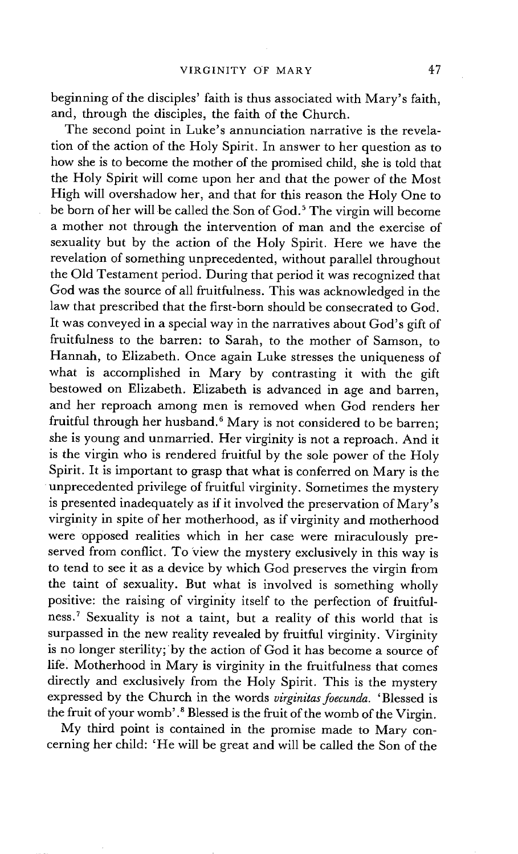beginning of the disciples' faith is thus associated with Mary's faith, and, through the disciples, the faith of the Church.

The second point in Luke's annunciation narrative is the revelation of the action of the Holy Spirit. In answer to her question as to how she is to become the mother of the promised child, she is told that the Holy Spirit will come upon her and that the power of the Most High will overshadow her, and that for this reason the Holy One to be born of her will be called the Son of God.<sup>5</sup> The virgin will become a mother not through the intervention of man and the exercise of sexuality but by the action of the Holy Spirit. Here we have the revelation of something unprecedented, without parallel throughout the Old Testament period. During that period it was recognized that God was the source of all fruitfulness. This was acknowledged in the law that prescribed that the first-born should be consecrated to God. It was conveyed in a special way in the narratives about God's gift of fruitfulness to the barren: to Sarah, to the mother of Samson, to Hannah, to Elizabeth. Once again Luke stresses the uniqueness of what is accomplished in Mary by contrasting it with the gift bestowed on Elizabeth. Elizabeth is advanced in age and barren, and her reproach among men is removed when God renders her fruitful through her husband.<sup>6</sup> Mary is not considered to be barren: she is young and unmarried. Her virginity is not a reproach. And it is the virgin who is rendered fruitful by the sole power of the Holy Spirit. It is important to grasp that what is conferred on Mary is the unprecedented privilege of fruitful virginity. Sometimes the mystery is presented inadequately as if it involved the preservation of Mary's virginity in spite of her motherhood, as if virginity and motherhood were opposed realities which in her case were miraculously preserved from conflict. To view the mystery exclusively in this way is to tend to see it as a device by which God preserves the virgin from the taint of sexuality. But what is involved is something wholly positive: the raising of virginity itself to the perfection of fruitfulness. 7 Sexuality is not a taint, but a reality of this world that is surpassed in the new reality revealed by fruitful virginity. Virginity is no longer sterility; by the action of God it has become a source of life. Motherhood in Mary is virginity in the fruitfulness that comes directly and exclusively from the Holy Spirit. This is the mystery expressed by the Church in the words *virginitas foecunda*. 'Blessed is the fruit of your womb'.<sup>8</sup> Blessed is the fruit of the womb of the Virgin.

My third point is contained in the promise made to Mary concerning her child: 'He will be great and will be called the Son of the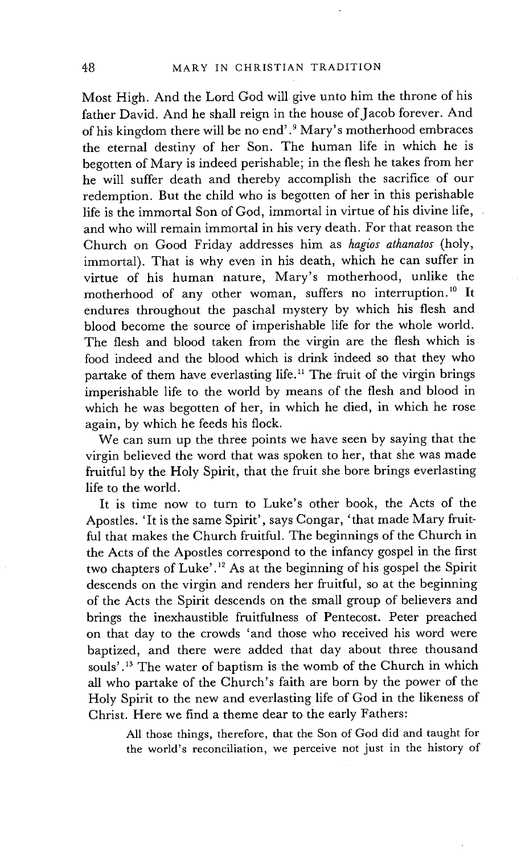Most High. And the Lord God will give unto him the throne of his father David. And he shall reign in the house of Jacob forever. And of his kingdom there will be no end' .9 Mary's motherhood embraces the eternal destiny of her Son. The human life in which he is begotten of Mary is indeed perishable; in the flesh he takes from her he will suffer death and thereby accomplish the sacrifice of our redemption. But the child who is begotten of her in this perishable life is the immortal Son of God, immortal in virtue of his divine life, and who will remain immortal in his very death. For that reason the Church on Good Friday addresses him as *hagios athanatos* (holy, immortal). That is why even in his death, which he can suffer in virtue of his human nature, Mary's motherhood, unlike the motherhood of any other woman, suffers no interruption. 10 It endures throughout the paschal mystery by which his flesh and blood become the source of imperishable life for the whole world. The flesh and blood taken from the virgin are the flesh which is food indeed and the blood which is drink indeed so that they who partake of them have everlasting life.<sup>11</sup> The fruit of the virgin brings imperishable life to the world by means of the flesh and blood in which he was begotten of her, in which he died, in which he rose again, by which he feeds his flock.

We can sum up the three points we have seen by saying that the virgin believed the word that was spoken to her, that she was made fruitful by the Holy Spirit, that the fruit she bore brings everlasting life to the world.

It is time now to turn to Luke's other book, the Acts of the Apostles. 'It is the same Spirit', says Congar, "that made Mary fruitful that makes the Church fruitful. The beginnings of the Church in the Acts of the Apostles correspond to the infancy gospel in the first two chapters of Luke' .12 As at the beginning of his gospel the Spirit descends on the virgin and renders her fruitful, so at the beginning of the Acts the Spirit descends on the small group of believers and brings the inexhaustible fruitfulness of Pentecost. Peter preached on that day to the crowds 'and those who received his word were baptized, and there were added that day about three thousand souls'.<sup>13</sup> The water of baptism is the womb of the Church in which all who partake of the Church's faith are born by the power of the Holy Spirit to the new and everlasting life of God in the likeness of Christ. Here we find a theme dear to the early Fathers:

> All those things, therefore, that the Son of God did and taught for the world's reconciliation, we perceive not just in the history of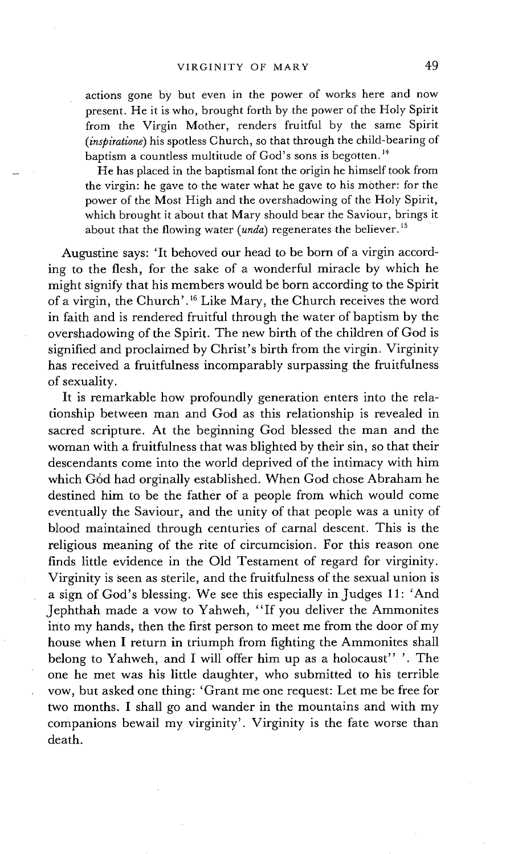actions gone by but even in the power of works here and now present. He it is who, brought forth by the power of the Holy Spirit from the Virgin Mother, renders fruitful by the same Spirit *(inspiratione)* his spotless Church, so that through the child-bearing of baptism a countless multitude of God's sons is begotten.<sup>14</sup>

He has placed in the baptismal font the origin he himself took from the virgin: he gave to the water what he gave to his mother: for the power of the Most High and the overshadowing of the Holy Spirit, which brought it about that Mary should bear the Saviour, brings it about that the flowing water *(unda)* regenerates the believer.<sup>15</sup>

Augustine says: 'It behoved our head to be born of a virgin according to the flesh, for the sake of a wonderful miracle by which he might signify that his members would be born according to the Spirit of a virgin, the Church'.'6 Like Mary, the Church receives the word in faith and is rendered fruitful through the water of baptism by the overshadowing of the Spirit. The new birth of the children of God is signified and proclaimed by Christ's birth from the virgin. Virginity has received a fruitfulness incomparably surpassing the fruitfulness of sexuality.

It is remarkable how profoundly generation enters into the relationship between man and God as this relationship is revealed in sacred scripture. At the beginning God blessed the man and the woman with a fruitfulness that was blighted by their sin, so that their descendants come into the world deprived of the intimacy with him which G6d had orginally established. When God chose Abraham he destined him to be the father of a people from which would come eventually the Saviour, and the unity of that people was a unity of blood maintained through centuries of carnal descent. This is the religious meaning of the rite of circumcision. For this reason one finds little evidence in the Old Testament of regard for virginity. Virginity is seen as sterile, and the fruitfulness of the sexual union is a sign of God's blessing. We see this especially in Judges 11: 'And Jephthah made a vow to Yahweh, "If you deliver the Ammonites into my hands, then the first person to meet me from the door of my house when I return in triumph from fighting the Ammonites shall belong to Yahweh, and I will offer him up as a holocaust" '. The one he met was his little daughter, who submitted to his terrible vow, but asked one thing: 'Grant me one request: Let me be free for two months. I shall go and wander in the mountains and with my companions bewail my virginity'. Virginity is the fate worse than death.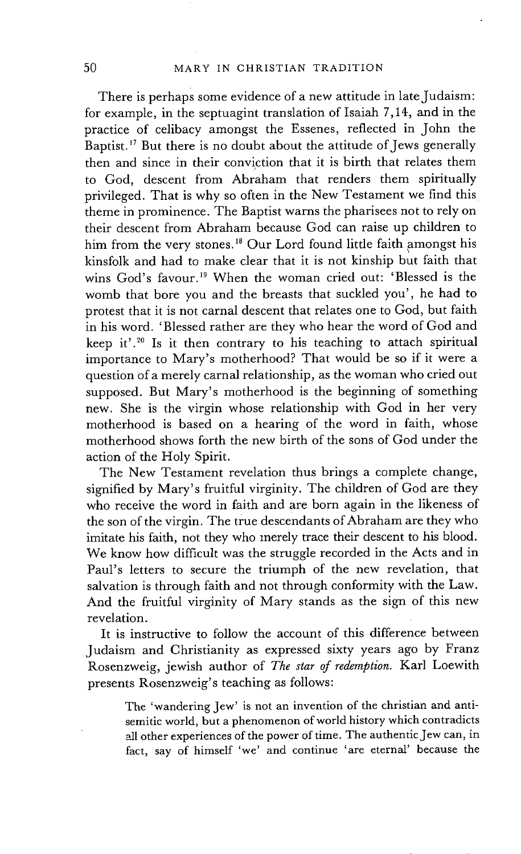There is perhaps some evidence of a new attitude in late Judaism: for example, in the septuagint translation of Isaiah 7,14, and in the practice of celibacy amongst the Essenes, reflected in John the Baptist. 17 But there is no doubt about the attitude of Jews generally then and since in their conviction that it is birth that relates them to God, descent from Abraham that renders them spiritually privileged. That is why so often in the New Testament we find this theme in prominence. The Baptist warns the pharisees not to rely on their descent from Abraham because God can raise up children to him from the very stones.<sup>18</sup> Our Lord found little faith amongst his kinsfolk and had to make clear that it is not kinship but faith that wins God's favour. 19 When the woman cried out: 'Blessed is the womb that bore you and the breasts that suckled you', he had to protest that it is not carnal descent that relates one to God, but faith in his word. 'Blessed rather are they Who hear the word of God and keep it'.<sup>20</sup> Is it then contrary to his teaching to attach spiritual importance to Mary's motherhood? That would be so if it were a question of a merely carnal relationship, as the woman who cried out supposed. But Mary's motherhood is the beginning of something new. She is the virgin whose relationship with God in her very motherhood is based on a hearing of the word in faith, whose motherhood shows forth the new birth of the sons of God under the action of the Holy Spirit.

The New Testament revelation thus brings a complete change, signified by Mary's fruitful virginity. The children of God are they who receive the word in faith and are born again in the likeness of the son of the virgin. The true descendants of Abraham are they who imitate his faith, not they who merely trace their descent to his blood. We know how difficult was the struggle recorded in the Acts and in Paul's letters to secure the triumph of the new revelation, that salvation is through faith and not through conformity with the Law. And the fruitful virginity of Mary stands as the sign of this new revelation.

It is instructive to follow the account of this difference between Judaism and Christianity as expressed sixty years ago by Franz Rosenzweig, jewish author of *The star of redemption.* Karl Loewith presents Rosenzweig's teaching as follows:

The 'wandering Jew' is not an invention of the christian and antisemitic world, but a phenomenon of world history which contradicts all other experiences of the power of time. The authentic Jew can, in fact, say of himself 'we' and continue 'are eternal' because the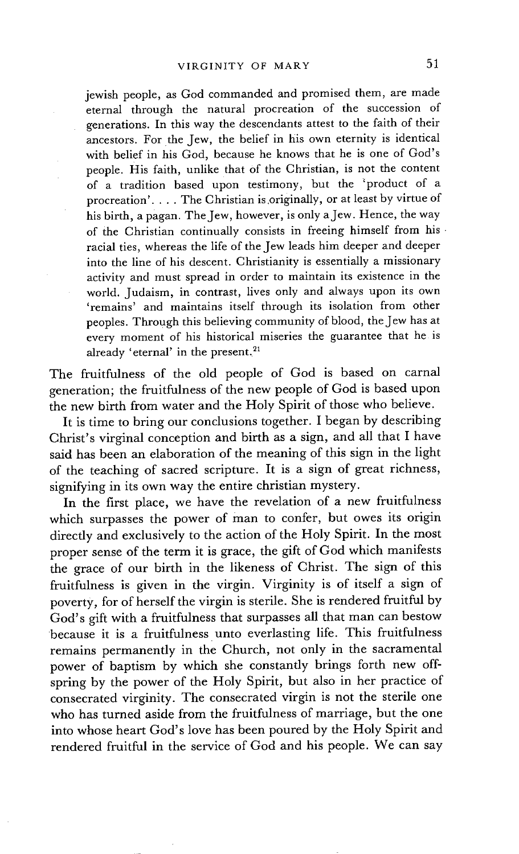jewish people, as God commanded and promised them, are made eternal through the natural procreation of the succession of generations. In this way the descendants attest to the faith of their ancestors. For the Jew, the belief in his own eternity is identical with belief in his God, because he knows that he is one of God's people. His faith, unlike that of the Christian, is not the content of a tradition based upon testimony, but the 'product of a procreation'.... The Christian is.originally, or at least by virtue of his birth, a pagan. The Jew, however, is only a Jew. Hence, the way of the Christian continually consists in freeing himself from hisracial ties, whereas the life of the Jew leads him deeper and deeper into the line of his descent. Christianity is essentially a missionary activity and must spread in order to maintain its existence in the world. Judaism, in contrast, lives only and always upon its own 'remains' and maintains itself through its isolation from other peoples. Through this believing community of blood, the Jew has at every moment of his historical miseries the guarantee that he is already 'eternal' in the present.<sup>21</sup>

The fruitfulness of the old people of God is based on carnal generation; the fruitfulness of the new people of God is based upon the new birth from water and the Holy Spirit of those who believe.

It is time to bring our conclusions together. I began by describing Christ's virginal conception and birth as a sign, and all that I have said has been an elaboration of the meaning of this sign in the light of the teaching of sacred scripture. It is a sign of great richness, signifying in its own way the entire christian mystery.

In the first place, we have the revelation of a new fruitfulness which surpasses the power of man to confer, but owes its origin directly and exclusively to the action of the Holy Spirit. In the most proper sense of the term it is grace, the gift of God which manifests the grace of our birth in the likeness of Christ. The sign of this fruitfulness is given in the virgin. Virginity is of itself a sign of poverty, for of herself the virgin is sterile. She is rendered fruitful by God's gift with a fruitfulness that surpasses all that man can bestow because it is a fruitfulness unto everlasting life. This fruitfulness remains permanently in the Church, not only in the sacramental power of baptism by which she constantly brings forth new offspring by the power of the Holy Spirit, but also in her practice of consecrated virginity. The consecrated virgin is not the sterile one who has turned aside from the fruitfulness of marriage, but the one into whose heart God's love has been poured by the Holy Spirit and rendered fruitful in the service of God and his people. We can say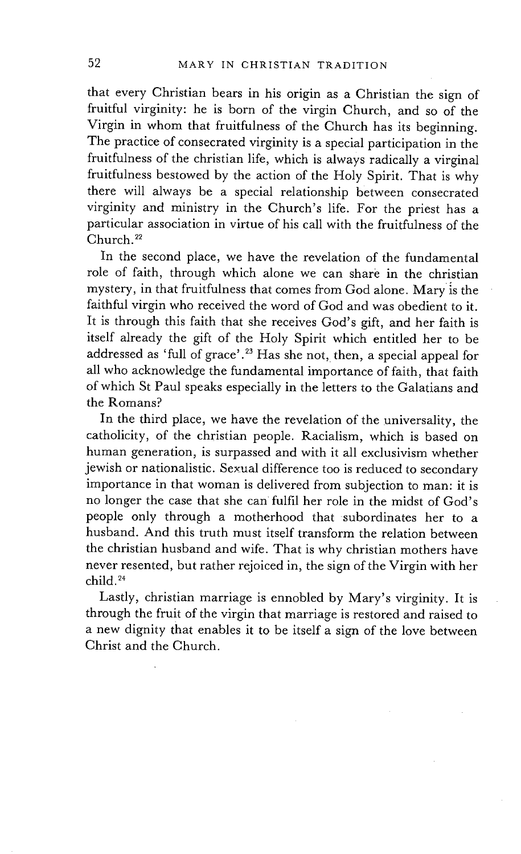that every Christian bears in his origin as a Christian the sign of fruitful virginity: he is born of the virgin Church, and so of the Virgin in whom that fruitfulness of the Church has its beginning. The practice of consecrated virginity is a special participation in the fruitfulness of the christian life, which is always radically a virginal fruitfulness bestowed by the action of the Holy Spirit. That is why there will always be a special relationship between consecrated virginity and ministry in the Church's life. For the priest has a particular association in virtue of his call with the fruitfulness of the Church. 22

In the second place, we have the revelation of the fundamental role of faith, through which alone we can share in the christian mystery, in that fruitfulness that comes from God alone. Mary is the faithful virgin who received the word of God and was obedient to it. It is through this faith that she receives God's gift, and her faith is itself already the gift of the Holy Spirit which entitled her to be addressed as 'full of grace'.<sup>23</sup> Has she not, then, a special appeal for all who acknowledge the fundamental importance of faith, that faith of which St Paul speaks especially in the letters to the Galatians and the Romans?

In the third place, we have the revelation of the universality, the catholicity, of the christian people. Racialism, which is based on human generation, is surpassed and with it all exclusivism whether jewish or nationalistic. Sexual difference too is reduced to secondary importance in that woman is delivered from subjection to man: it is no longer the case that she can fulfil her role in the midst of God's people only through a motherhood that subordinates her to a husband. And this truth must itself transform the relation between the christian husband and wife. That is why christian mothers have never resented, but rather rejoiced in, the sign of the Virgin with her child. 24

Lastly, christian marriage is ennobled by Mary's virginity. It is through the fruit of the virgin that marriage is restored and raised to a new dignity that enables it to be itself a sign of the love between Christ and the Church.